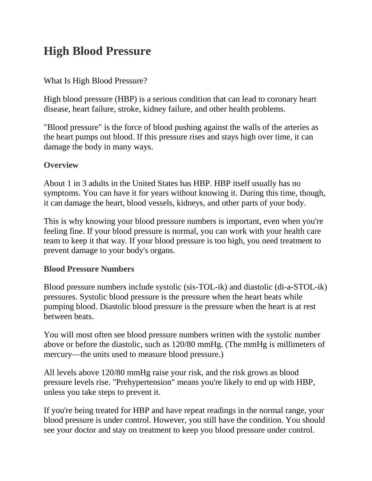# **High Blood Pressure**

### What Is High Blood Pressure?

High blood pressure (HBP) is a serious condition that can lead to coronary heart disease, heart failure, stroke, kidney failure, and other health problems.

"Blood pressure" is the force of blood pushing against the walls of the arteries as the heart pumps out blood. If this pressure rises and stays high over time, it can damage the body in many ways.

#### **Overview**

About 1 in 3 adults in the United States has HBP. HBP itself usually has no symptoms. You can have it for years without knowing it. During this time, though, it can damage the heart, blood vessels, kidneys, and other parts of your body.

This is why knowing your blood pressure numbers is important, even when you're feeling fine. If your blood pressure is normal, you can work with your health care team to keep it that way. If your blood pressure is too high, you need treatment to prevent damage to your body's organs.

#### **Blood Pressure Numbers**

Blood pressure numbers include systolic (sis-TOL-ik) and diastolic (di-a-STOL-ik) pressures. Systolic blood pressure is the pressure when the heart beats while pumping blood. Diastolic blood pressure is the pressure when the heart is at rest between beats.

You will most often see blood pressure numbers written with the systolic number above or before the diastolic, such as 120/80 mmHg. (The mmHg is millimeters of mercury—the units used to measure blood pressure.)

All levels above 120/80 mmHg raise your risk, and the risk grows as blood pressure levels rise. "Prehypertension" means you're likely to end up with HBP, unless you take steps to prevent it.

If you're being treated for HBP and have repeat readings in the normal range, your blood pressure is under control. However, you still have the condition. You should see your doctor and stay on treatment to keep you blood pressure under control.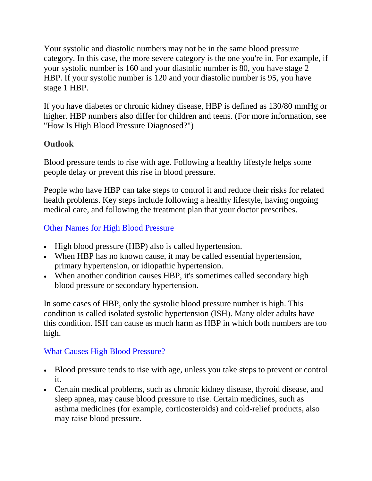Your systolic and diastolic numbers may not be in the same blood pressure category. In this case, the more severe category is the one you're in. For example, if your systolic number is 160 and your diastolic number is 80, you have stage 2 HBP. If your systolic number is 120 and your diastolic number is 95, you have stage 1 HBP.

If you have diabetes or chronic kidney disease, HBP is defined as 130/80 mmHg or higher. HBP numbers also differ for children and teens. (For more information, see "How Is High Blood Pressure Diagnosed?")

# **Outlook**

Blood pressure tends to rise with age. Following a healthy lifestyle helps some people delay or prevent this rise in blood pressure.

People who have HBP can take steps to control it and reduce their risks for related health problems. Key steps include following a healthy lifestyle, having ongoing medical care, and following the treatment plan that your doctor prescribes.

# Other Names for High Blood Pressure

- High blood pressure (HBP) also is called hypertension.
- When HBP has no known cause, it may be called essential hypertension, primary hypertension, or idiopathic hypertension.
- When another condition causes HBP, it's sometimes called secondary high blood pressure or secondary hypertension.

In some cases of HBP, only the systolic blood pressure number is high. This condition is called isolated systolic hypertension (ISH). Many older adults have this condition. ISH can cause as much harm as HBP in which both numbers are too high.

# What Causes High Blood Pressure?

- Blood pressure tends to rise with age, unless you take steps to prevent or control it.
- Certain medical problems, such as chronic kidney disease, thyroid disease, and sleep apnea, may cause blood pressure to rise. Certain medicines, such as asthma medicines (for example, corticosteroids) and cold-relief products, also may raise blood pressure.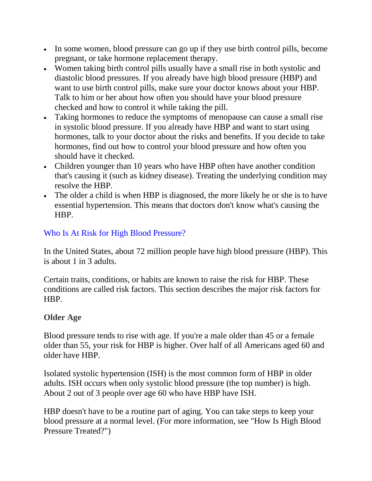- In some women, blood pressure can go up if they use birth control pills, become pregnant, or take hormone replacement therapy.
- Women taking birth control pills usually have a small rise in both systolic and diastolic blood pressures. If you already have high blood pressure (HBP) and want to use birth control pills, make sure your doctor knows about your HBP. Talk to him or her about how often you should have your blood pressure checked and how to control it while taking the pill.
- Taking hormones to reduce the symptoms of menopause can cause a small rise in systolic blood pressure. If you already have HBP and want to start using hormones, talk to your doctor about the risks and benefits. If you decide to take hormones, find out how to control your blood pressure and how often you should have it checked.
- Children younger than 10 years who have HBP often have another condition that's causing it (such as kidney disease). Treating the underlying condition may resolve the HBP.
- The older a child is when HBP is diagnosed, the more likely he or she is to have essential hypertension. This means that doctors don't know what's causing the HBP.

# Who Is At Risk for High Blood Pressure?

In the United States, about 72 million people have high blood pressure (HBP). This is about 1 in 3 adults.

Certain traits, conditions, or habits are known to raise the risk for HBP. These conditions are called risk factors. This section describes the major risk factors for HBP.

### **Older Age**

Blood pressure tends to rise with age. If you're a male older than 45 or a female older than 55, your risk for HBP is higher. Over half of all Americans aged 60 and older have HBP.

Isolated systolic hypertension (ISH) is the most common form of HBP in older adults. ISH occurs when only systolic blood pressure (the top number) is high. About 2 out of 3 people over age 60 who have HBP have ISH.

HBP doesn't have to be a routine part of aging. You can take steps to keep your blood pressure at a normal level. (For more information, see "How Is High Blood Pressure Treated?")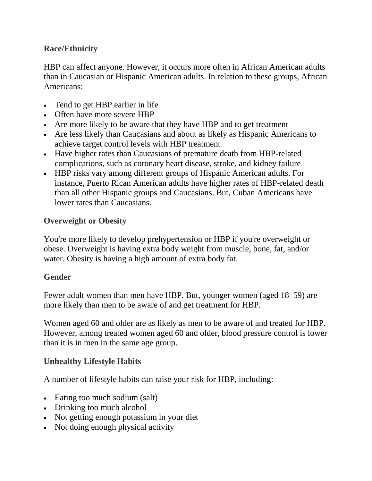### **Race/Ethnicity**

HBP can affect anyone. However, it occurs more often in African American adults than in Caucasian or Hispanic American adults. In relation to these groups, African Americans:

- Tend to get HBP earlier in life
- Often have more severe HBP
- Are more likely to be aware that they have HBP and to get treatment
- Are less likely than Caucasians and about as likely as Hispanic Americans to achieve target control levels with HBP treatment
- Have higher rates than Caucasians of premature death from HBP-related complications, such as coronary heart disease, stroke, and kidney failure
- HBP risks vary among different groups of Hispanic American adults. For instance, Puerto Rican American adults have higher rates of HBP-related death than all other Hispanic groups and Caucasians. But, Cuban Americans have lower rates than Caucasians.

# **Overweight or Obesity**

You're more likely to develop prehypertension or HBP if you're overweight or obese. Overweight is having extra body weight from muscle, bone, fat, and/or water. Obesity is having a high amount of extra body fat.

### **Gender**

Fewer adult women than men have HBP. But, younger women (aged 18–59) are more likely than men to be aware of and get treatment for HBP.

Women aged 60 and older are as likely as men to be aware of and treated for HBP. However, among treated women aged 60 and older, blood pressure control is lower than it is in men in the same age group.

### **Unhealthy Lifestyle Habits**

A number of lifestyle habits can raise your risk for HBP, including:

- Eating too much sodium (salt)
- Drinking too much alcohol
- Not getting enough potassium in your diet
- Not doing enough physical activity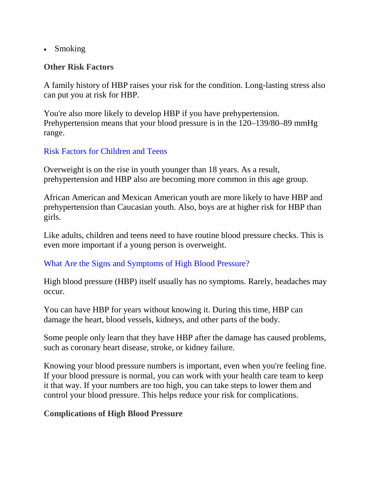• Smoking

#### **Other Risk Factors**

A family history of HBP raises your risk for the condition. Long-lasting stress also can put you at risk for HBP.

You're also more likely to develop HBP if you have prehypertension. Prehypertension means that your blood pressure is in the 120–139/80–89 mmHg range.

#### Risk Factors for Children and Teens

Overweight is on the rise in youth younger than 18 years. As a result, prehypertension and HBP also are becoming more common in this age group.

African American and Mexican American youth are more likely to have HBP and prehypertension than Caucasian youth. Also, boys are at higher risk for HBP than girls.

Like adults, children and teens need to have routine blood pressure checks. This is even more important if a young person is overweight.

### What Are the Signs and Symptoms of High Blood Pressure?

High blood pressure (HBP) itself usually has no symptoms. Rarely, headaches may occur.

You can have HBP for years without knowing it. During this time, HBP can damage the heart, blood vessels, kidneys, and other parts of the body.

Some people only learn that they have HBP after the damage has caused problems, such as coronary heart disease, stroke, or kidney failure.

Knowing your blood pressure numbers is important, even when you're feeling fine. If your blood pressure is normal, you can work with your health care team to keep it that way. If your numbers are too high, you can take steps to lower them and control your blood pressure. This helps reduce your risk for complications.

### **Complications of High Blood Pressure**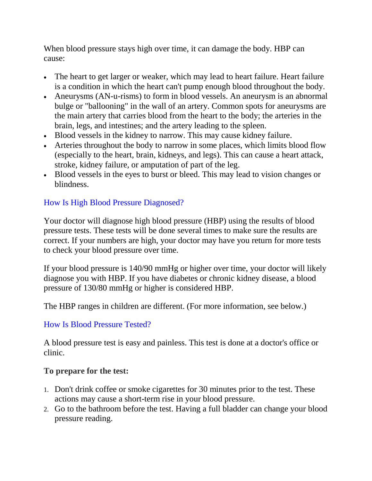When blood pressure stays high over time, it can damage the body. HBP can cause:

- The heart to get larger or weaker, which may lead to heart failure. Heart failure is a condition in which the heart can't pump enough blood throughout the body.
- Aneurysms (AN-u-risms) to form in blood vessels. An aneurysm is an abnormal bulge or "ballooning" in the wall of an artery. Common spots for aneurysms are the main artery that carries blood from the heart to the body; the arteries in the brain, legs, and intestines; and the artery leading to the spleen.
- Blood vessels in the kidney to narrow. This may cause kidney failure.
- Arteries throughout the body to narrow in some places, which limits blood flow (especially to the heart, brain, kidneys, and legs). This can cause a heart attack, stroke, kidney failure, or amputation of part of the leg.
- Blood vessels in the eyes to burst or bleed. This may lead to vision changes or blindness.

# How Is High Blood Pressure Diagnosed?

Your doctor will diagnose high blood pressure (HBP) using the results of blood pressure tests. These tests will be done several times to make sure the results are correct. If your numbers are high, your doctor may have you return for more tests to check your blood pressure over time.

If your blood pressure is 140/90 mmHg or higher over time, your doctor will likely diagnose you with HBP. If you have diabetes or chronic kidney disease, a blood pressure of 130/80 mmHg or higher is considered HBP.

The HBP ranges in children are different. (For more information, see below.)

### How Is Blood Pressure Tested?

A blood pressure test is easy and painless. This test is done at a doctor's office or clinic.

#### **To prepare for the test:**

- 1. Don't drink coffee or smoke cigarettes for 30 minutes prior to the test. These actions may cause a short-term rise in your blood pressure.
- 2. Go to the bathroom before the test. Having a full bladder can change your blood pressure reading.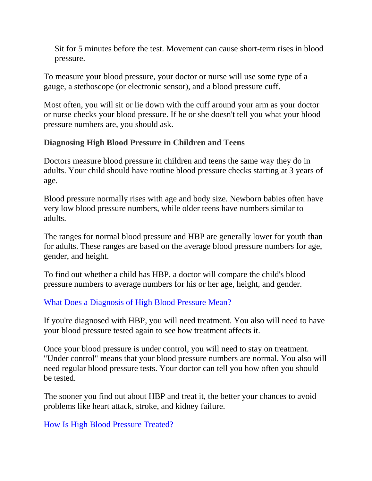Sit for 5 minutes before the test. Movement can cause short-term rises in blood pressure.

To measure your blood pressure, your doctor or nurse will use some type of a gauge, a stethoscope (or electronic sensor), and a blood pressure cuff.

Most often, you will sit or lie down with the cuff around your arm as your doctor or nurse checks your blood pressure. If he or she doesn't tell you what your blood pressure numbers are, you should ask.

# **Diagnosing High Blood Pressure in Children and Teens**

Doctors measure blood pressure in children and teens the same way they do in adults. Your child should have routine blood pressure checks starting at 3 years of age.

Blood pressure normally rises with age and body size. Newborn babies often have very low blood pressure numbers, while older teens have numbers similar to adults.

The ranges for normal blood pressure and HBP are generally lower for youth than for adults. These ranges are based on the average blood pressure numbers for age, gender, and height.

To find out whether a child has HBP, a doctor will compare the child's blood pressure numbers to average numbers for his or her age, height, and gender.

### What Does a Diagnosis of High Blood Pressure Mean?

If you're diagnosed with HBP, you will need treatment. You also will need to have your blood pressure tested again to see how treatment affects it.

Once your blood pressure is under control, you will need to stay on treatment. "Under control" means that your blood pressure numbers are normal. You also will need regular blood pressure tests. Your doctor can tell you how often you should be tested.

The sooner you find out about HBP and treat it, the better your chances to avoid problems like heart attack, stroke, and kidney failure.

How Is High Blood Pressure Treated?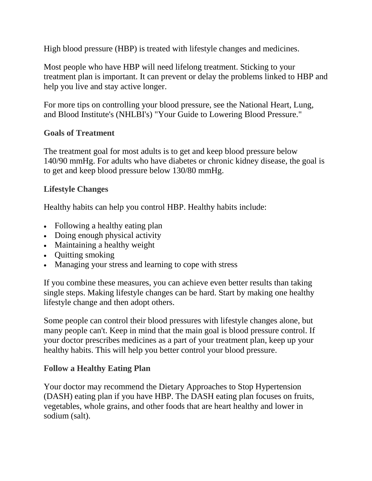High blood pressure (HBP) is treated with lifestyle changes and medicines.

Most people who have HBP will need lifelong treatment. Sticking to your treatment plan is important. It can prevent or delay the problems linked to HBP and help you live and stay active longer.

For more tips on controlling your blood pressure, see the National Heart, Lung, and Blood Institute's (NHLBI's) "Your Guide to Lowering Blood Pressure."

# **Goals of Treatment**

The treatment goal for most adults is to get and keep blood pressure below 140/90 mmHg. For adults who have diabetes or chronic kidney disease, the goal is to get and keep blood pressure below 130/80 mmHg.

# **Lifestyle Changes**

Healthy habits can help you control HBP. Healthy habits include:

- Following a healthy eating plan
- Doing enough physical activity
- Maintaining a healthy weight
- Quitting smoking
- Managing your stress and learning to cope with stress

If you combine these measures, you can achieve even better results than taking single steps. Making lifestyle changes can be hard. Start by making one healthy lifestyle change and then adopt others.

Some people can control their blood pressures with lifestyle changes alone, but many people can't. Keep in mind that the main goal is blood pressure control. If your doctor prescribes medicines as a part of your treatment plan, keep up your healthy habits. This will help you better control your blood pressure.

# **Follow a Healthy Eating Plan**

Your doctor may recommend the Dietary Approaches to Stop Hypertension (DASH) eating plan if you have HBP. The DASH eating plan focuses on fruits, vegetables, whole grains, and other foods that are heart healthy and lower in sodium (salt).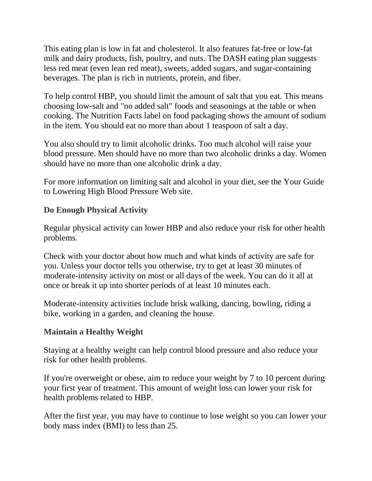This eating plan is low in fat and cholesterol. It also features fat-free or low-fat milk and dairy products, fish, poultry, and nuts. The DASH eating plan suggests less red meat (even lean red meat), sweets, added sugars, and sugar-containing beverages. The plan is rich in nutrients, protein, and fiber.

To help control HBP, you should limit the amount of salt that you eat. This means choosing low-salt and "no added salt" foods and seasonings at the table or when cooking. The Nutrition Facts label on food packaging shows the amount of sodium in the item. You should eat no more than about 1 teaspoon of salt a day.

You also should try to limit alcoholic drinks. Too much alcohol will raise your blood pressure. Men should have no more than two alcoholic drinks a day. Women should have no more than one alcoholic drink a day.

For more information on limiting salt and alcohol in your diet, see the Your Guide to Lowering High Blood Pressure Web site.

### **Do Enough Physical Activity**

Regular physical activity can lower HBP and also reduce your risk for other health problems.

Check with your doctor about how much and what kinds of activity are safe for you. Unless your doctor tells you otherwise, try to get at least 30 minutes of moderate-intensity activity on most or all days of the week. You can do it all at once or break it up into shorter periods of at least 10 minutes each.

Moderate-intensity activities include brisk walking, dancing, bowling, riding a bike, working in a garden, and cleaning the house.

#### **Maintain a Healthy Weight**

Staying at a healthy weight can help control blood pressure and also reduce your risk for other health problems.

If you're overweight or obese, aim to reduce your weight by 7 to 10 percent during your first year of treatment. This amount of weight loss can lower your risk for health problems related to HBP.

After the first year, you may have to continue to lose weight so you can lower your body mass index (BMI) to less than 25.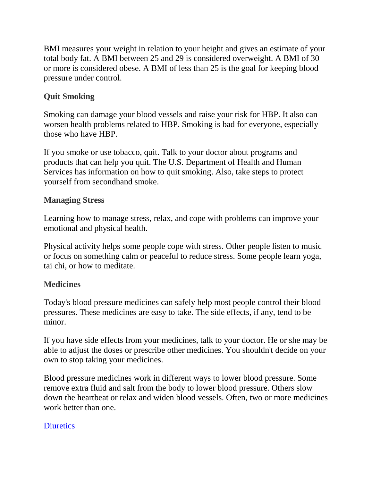BMI measures your weight in relation to your height and gives an estimate of your total body fat. A BMI between 25 and 29 is considered overweight. A BMI of 30 or more is considered obese. A BMI of less than 25 is the goal for keeping blood pressure under control.

# **Quit Smoking**

Smoking can damage your blood vessels and raise your risk for HBP. It also can worsen health problems related to HBP. Smoking is bad for everyone, especially those who have HBP.

If you smoke or use tobacco, quit. Talk to your doctor about programs and products that can help you quit. The U.S. Department of Health and Human Services has information on how to quit smoking. Also, take steps to protect yourself from secondhand smoke.

# **Managing Stress**

Learning how to manage stress, relax, and cope with problems can improve your emotional and physical health.

Physical activity helps some people cope with stress. Other people listen to music or focus on something calm or peaceful to reduce stress. Some people learn yoga, tai chi, or how to meditate.

# **Medicines**

Today's blood pressure medicines can safely help most people control their blood pressures. These medicines are easy to take. The side effects, if any, tend to be minor.

If you have side effects from your medicines, talk to your doctor. He or she may be able to adjust the doses or prescribe other medicines. You shouldn't decide on your own to stop taking your medicines.

Blood pressure medicines work in different ways to lower blood pressure. Some remove extra fluid and salt from the body to lower blood pressure. Others slow down the heartbeat or relax and widen blood vessels. Often, two or more medicines work better than one.

# **Diuretics**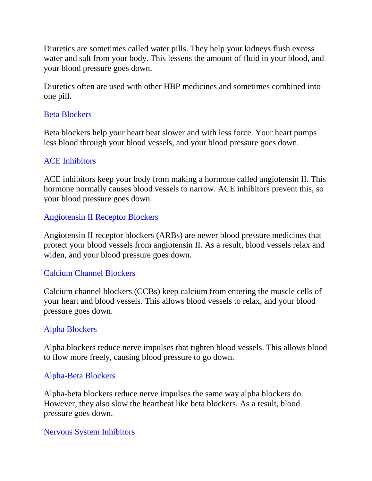Diuretics are sometimes called water pills. They help your kidneys flush excess water and salt from your body. This lessens the amount of fluid in your blood, and your blood pressure goes down.

Diuretics often are used with other HBP medicines and sometimes combined into one pill.

#### Beta Blockers

Beta blockers help your heart beat slower and with less force. Your heart pumps less blood through your blood vessels, and your blood pressure goes down.

#### ACE Inhibitors

ACE inhibitors keep your body from making a hormone called angiotensin II. This hormone normally causes blood vessels to narrow. ACE inhibitors prevent this, so your blood pressure goes down.

### Angiotensin II Receptor Blockers

Angiotensin II receptor blockers (ARBs) are newer blood pressure medicines that protect your blood vessels from angiotensin II. As a result, blood vessels relax and widen, and your blood pressure goes down.

#### Calcium Channel Blockers

Calcium channel blockers (CCBs) keep calcium from entering the muscle cells of your heart and blood vessels. This allows blood vessels to relax, and your blood pressure goes down.

#### Alpha Blockers

Alpha blockers reduce nerve impulses that tighten blood vessels. This allows blood to flow more freely, causing blood pressure to go down.

#### Alpha-Beta Blockers

Alpha-beta blockers reduce nerve impulses the same way alpha blockers do. However, they also slow the heartbeat like beta blockers. As a result, blood pressure goes down.

#### Nervous System Inhibitors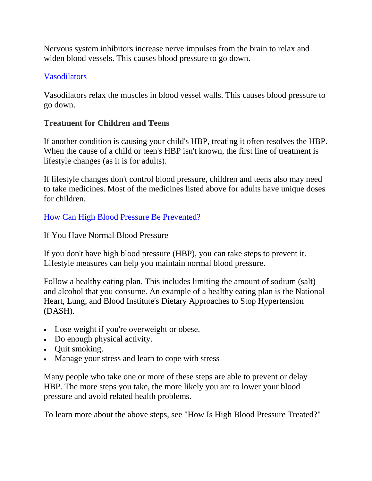Nervous system inhibitors increase nerve impulses from the brain to relax and widen blood vessels. This causes blood pressure to go down.

### **Vasodilators**

Vasodilators relax the muscles in blood vessel walls. This causes blood pressure to go down.

# **Treatment for Children and Teens**

If another condition is causing your child's HBP, treating it often resolves the HBP. When the cause of a child or teen's HBP isn't known, the first line of treatment is lifestyle changes (as it is for adults).

If lifestyle changes don't control blood pressure, children and teens also may need to take medicines. Most of the medicines listed above for adults have unique doses for children.

# How Can High Blood Pressure Be Prevented?

If You Have Normal Blood Pressure

If you don't have high blood pressure (HBP), you can take steps to prevent it. Lifestyle measures can help you maintain normal blood pressure.

Follow a healthy eating plan. This includes limiting the amount of sodium (salt) and alcohol that you consume. An example of a healthy eating plan is the National Heart, Lung, and Blood Institute's Dietary Approaches to Stop Hypertension (DASH).

- Lose weight if you're overweight or obese.
- Do enough physical activity.
- Quit smoking.
- Manage your stress and learn to cope with stress

Many people who take one or more of these steps are able to prevent or delay HBP. The more steps you take, the more likely you are to lower your blood pressure and avoid related health problems.

To learn more about the above steps, see "How Is High Blood Pressure Treated?"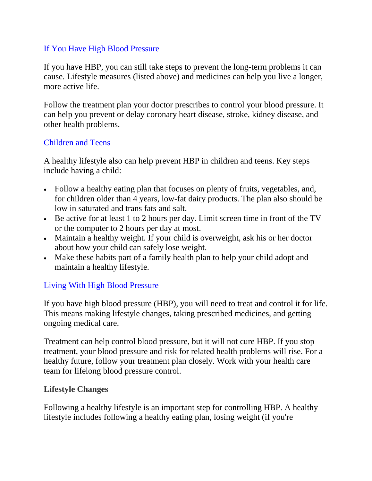### If You Have High Blood Pressure

If you have HBP, you can still take steps to prevent the long-term problems it can cause. Lifestyle measures (listed above) and medicines can help you live a longer, more active life.

Follow the treatment plan your doctor prescribes to control your blood pressure. It can help you prevent or delay coronary heart disease, stroke, kidney disease, and other health problems.

### Children and Teens

A healthy lifestyle also can help prevent HBP in children and teens. Key steps include having a child:

- Follow a healthy eating plan that focuses on plenty of fruits, vegetables, and, for children older than 4 years, low-fat dairy products. The plan also should be low in saturated and trans fats and salt.
- Be active for at least 1 to 2 hours per day. Limit screen time in front of the TV or the computer to 2 hours per day at most.
- Maintain a healthy weight. If your child is overweight, ask his or her doctor about how your child can safely lose weight.
- Make these habits part of a family health plan to help your child adopt and maintain a healthy lifestyle.

# Living With High Blood Pressure

If you have high blood pressure (HBP), you will need to treat and control it for life. This means making lifestyle changes, taking prescribed medicines, and getting ongoing medical care.

Treatment can help control blood pressure, but it will not cure HBP. If you stop treatment, your blood pressure and risk for related health problems will rise. For a healthy future, follow your treatment plan closely. Work with your health care team for lifelong blood pressure control.

#### **Lifestyle Changes**

Following a healthy lifestyle is an important step for controlling HBP. A healthy lifestyle includes following a healthy eating plan, losing weight (if you're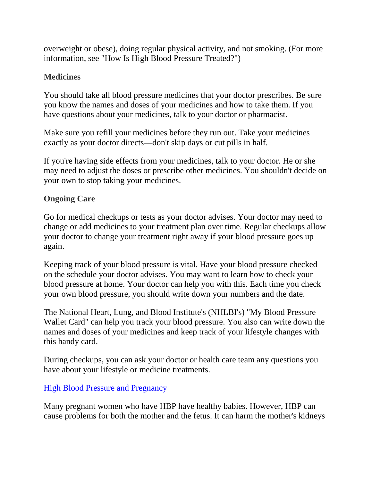overweight or obese), doing regular physical activity, and not smoking. (For more information, see "How Is High Blood Pressure Treated?")

### **Medicines**

You should take all blood pressure medicines that your doctor prescribes. Be sure you know the names and doses of your medicines and how to take them. If you have questions about your medicines, talk to your doctor or pharmacist.

Make sure you refill your medicines before they run out. Take your medicines exactly as your doctor directs—don't skip days or cut pills in half.

If you're having side effects from your medicines, talk to your doctor. He or she may need to adjust the doses or prescribe other medicines. You shouldn't decide on your own to stop taking your medicines.

### **Ongoing Care**

Go for medical checkups or tests as your doctor advises. Your doctor may need to change or add medicines to your treatment plan over time. Regular checkups allow your doctor to change your treatment right away if your blood pressure goes up again.

Keeping track of your blood pressure is vital. Have your blood pressure checked on the schedule your doctor advises. You may want to learn how to check your blood pressure at home. Your doctor can help you with this. Each time you check your own blood pressure, you should write down your numbers and the date.

The National Heart, Lung, and Blood Institute's (NHLBI's) "My Blood Pressure Wallet Card" can help you track your blood pressure. You also can write down the names and doses of your medicines and keep track of your lifestyle changes with this handy card.

During checkups, you can ask your doctor or health care team any questions you have about your lifestyle or medicine treatments.

# High Blood Pressure and Pregnancy

Many pregnant women who have HBP have healthy babies. However, HBP can cause problems for both the mother and the fetus. It can harm the mother's kidneys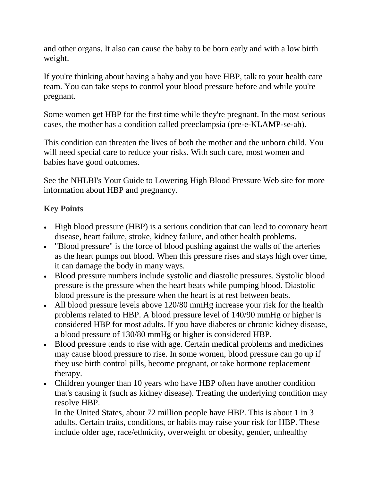and other organs. It also can cause the baby to be born early and with a low birth weight.

If you're thinking about having a baby and you have HBP, talk to your health care team. You can take steps to control your blood pressure before and while you're pregnant.

Some women get HBP for the first time while they're pregnant. In the most serious cases, the mother has a condition called preeclampsia (pre-e-KLAMP-se-ah).

This condition can threaten the lives of both the mother and the unborn child. You will need special care to reduce your risks. With such care, most women and babies have good outcomes.

See the NHLBI's Your Guide to Lowering High Blood Pressure Web site for more information about HBP and pregnancy.

# **Key Points**

- High blood pressure (HBP) is a serious condition that can lead to coronary heart disease, heart failure, stroke, kidney failure, and other health problems.
- "Blood pressure" is the force of blood pushing against the walls of the arteries as the heart pumps out blood. When this pressure rises and stays high over time, it can damage the body in many ways.
- Blood pressure numbers include systolic and diastolic pressures. Systolic blood pressure is the pressure when the heart beats while pumping blood. Diastolic blood pressure is the pressure when the heart is at rest between beats.
- All blood pressure levels above 120/80 mmHg increase your risk for the health problems related to HBP. A blood pressure level of 140/90 mmHg or higher is considered HBP for most adults. If you have diabetes or chronic kidney disease, a blood pressure of 130/80 mmHg or higher is considered HBP.
- Blood pressure tends to rise with age. Certain medical problems and medicines may cause blood pressure to rise. In some women, blood pressure can go up if they use birth control pills, become pregnant, or take hormone replacement therapy.
- Children younger than 10 years who have HBP often have another condition that's causing it (such as kidney disease). Treating the underlying condition may resolve HBP.

In the United States, about 72 million people have HBP. This is about 1 in 3 adults. Certain traits, conditions, or habits may raise your risk for HBP. These include older age, race/ethnicity, overweight or obesity, gender, unhealthy